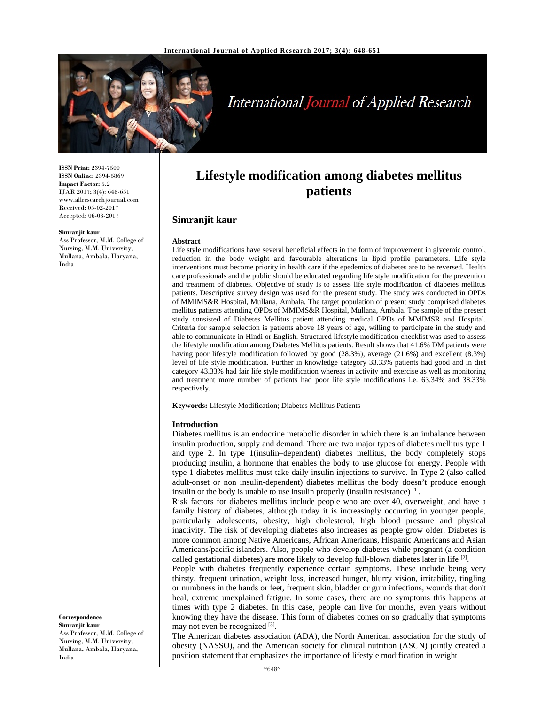

# International Journal of Applied Research

**ISSN Print:** 2394-7500 **ISSN Online:** 2394-5869 **Impact Factor:** 5.2 IJAR 2017; 3(4): 648-651 www.allresearchjournal.com Received: 05-02-2017 Accepted: 06-03-2017

#### **Simranjit kaur**

Ass Professor, M.M. College of Nursing, M.M. University, Mullana, Ambala, Haryana, India

**Lifestyle modification among diabetes mellitus patients**

## **Simranjit kaur**

#### **Abstract**

Life style modifications have several beneficial effects in the form of improvement in glycemic control, reduction in the body weight and favourable alterations in lipid profile parameters. Life style interventions must become priority in health care if the epedemics of diabetes are to be reversed. Health care professionals and the public should be educated regarding life style modification for the prevention and treatment of diabetes. Objective of study is to assess life style modification of diabetes mellitus patients. Descriptive survey design was used for the present study. The study was conducted in OPDs of MMIMS&R Hospital, Mullana, Ambala. The target population of present study comprised diabetes mellitus patients attending OPDs of MMIMS&R Hospital, Mullana, Ambala. The sample of the present study consisted of Diabetes Mellitus patient attending medical OPDs of MMIMSR and Hospital. Criteria for sample selection is patients above 18 years of age, willing to participate in the study and able to communicate in Hindi or English. Structured lifestyle modification checklist was used to assess the lifestyle modification among Diabetes Mellitus patients. Result shows that 41.6% DM patients were having poor lifestyle modification followed by good (28.3%), average (21.6%) and excellent (8.3%) level of life style modification. Further in knowledge category 33.33% patients had good and in diet category 43.33% had fair life style modification whereas in activity and exercise as well as monitoring and treatment more number of patients had poor life style modifications i.e. 63.34% and 38.33% respectively.

**Keywords:** Lifestyle Modification; Diabetes Mellitus Patients

#### **Introduction**

Diabetes mellitus is an endocrine metabolic disorder in which there is an imbalance between insulin production, supply and demand. There are two major types of diabetes mellitus type 1 and type 2. In type 1(insulin–dependent) diabetes mellitus, the body completely stops producing insulin, a hormone that enables the body to use glucose for energy. People with type 1 diabetes mellitus must take daily insulin injections to survive. In Type 2 (also called adult-onset or non insulin-dependent) diabetes mellitus the body doesn't produce enough insulin or the body is unable to use insulin properly (insulin resistance)  $<sup>[1]</sup>$ .</sup>

Risk factors for diabetes mellitus include people who are over 40, overweight, and have a family history of diabetes, although today it is increasingly occurring in younger people, particularly adolescents, obesity, high cholesterol, high blood pressure and physical inactivity. The risk of developing diabetes also increases as people grow older. Diabetes is more common among Native Americans, African Americans, Hispanic Americans and Asian Americans/pacific islanders. Also, people who develop diabetes while pregnant (a condition called gestational diabetes) are more likely to develop full-blown diabetes later in life  $^{[2]}$ .

People with diabetes frequently experience certain symptoms. These include being very thirsty, frequent urination, weight loss, increased hunger, blurry vision, irritability, tingling or numbness in the hands or feet, frequent skin, bladder or gum infections, wounds that don't heal, extreme unexplained fatigue. In some cases, there are no symptoms this happens at times with type 2 diabetes. In this case, people can live for months, even years without knowing they have the disease. This form of diabetes comes on so gradually that symptoms may not even be recognized [3].

The American diabetes association (ADA), the North American association for the study of obesity (NASSO), and the American society for clinical nutrition (ASCN) jointly created a position statement that emphasizes the importance of lifestyle modification in weight

**Correspondence Simranjit kaur**  Ass Professor, M.M. College of Nursing, M.M. University, Mullana, Ambala, Haryana, India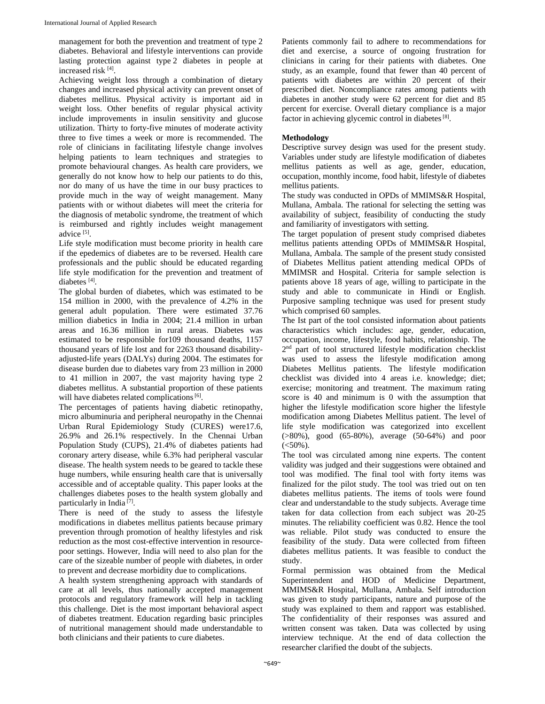management for both the prevention and treatment of type 2 diabetes. Behavioral and lifestyle interventions can provide lasting protection against type 2 diabetes in people at increased risk [4].

Achieving weight loss through a combination of dietary changes and increased physical activity can prevent onset of diabetes mellitus. Physical activity is important aid in weight loss. Other benefits of regular physical activity include improvements in insulin sensitivity and glucose utilization. Thirty to forty-five minutes of moderate activity three to five times a week or more is recommended. The role of clinicians in facilitating lifestyle change involves helping patients to learn techniques and strategies to promote behavioural changes. As health care providers, we generally do not know how to help our patients to do this, nor do many of us have the time in our busy practices to provide much in the way of weight management. Many patients with or without diabetes will meet the criteria for the diagnosis of metabolic syndrome, the treatment of which is reimbursed and rightly includes weight management advice [5].

Life style modification must become priority in health care if the epedemics of diabetes are to be reversed. Health care professionals and the public should be educated regarding life style modification for the prevention and treatment of diabetes [4].

The global burden of diabetes, which was estimated to be 154 million in 2000, with the prevalence of 4.2% in the general adult population. There were estimated 37.76 million diabetics in India in 2004; 21.4 million in urban areas and 16.36 million in rural areas. Diabetes was estimated to be responsible for109 thousand deaths, 1157 thousand years of life lost and for 2263 thousand disabilityadjusted-life years (DALYs) during 2004. The estimates for disease burden due to diabetes vary from 23 million in 2000 to 41 million in 2007, the vast majority having type 2 diabetes mellitus. A substantial proportion of these patients will have diabetes related complications [6].

The percentages of patients having diabetic retinopathy, micro albuminuria and peripheral neuropathy in the Chennai Urban Rural Epidemiology Study (CURES) were17.6, 26.9% and 26.1% respectively. In the Chennai Urban Population Study (CUPS), 21.4% of diabetes patients had coronary artery disease, while 6.3% had peripheral vascular disease. The health system needs to be geared to tackle these huge numbers, while ensuring health care that is universally accessible and of acceptable quality. This paper looks at the challenges diabetes poses to the health system globally and particularly in India<sup>[7]</sup>.

There is need of the study to assess the lifestyle modifications in diabetes mellitus patients because primary prevention through promotion of healthy lifestyles and risk reduction as the most cost-effective intervention in resourcepoor settings. However, India will need to also plan for the care of the sizeable number of people with diabetes, in order to prevent and decrease morbidity due to complications.

A health system strengthening approach with standards of care at all levels, thus nationally accepted management protocols and regulatory framework will help in tackling this challenge. Diet is the most important behavioral aspect of diabetes treatment. Education regarding basic principles of nutritional management should made understandable to both clinicians and their patients to cure diabetes.

Patients commonly fail to adhere to recommendations for diet and exercise, a source of ongoing frustration for clinicians in caring for their patients with diabetes. One study, as an example, found that fewer than 40 percent of patients with diabetes are within 20 percent of their prescribed diet. Noncompliance rates among patients with diabetes in another study were 62 percent for diet and 85 percent for exercise. Overall dietary compliance is a major factor in achieving glycemic control in diabetes [8].

## **Methodology**

Descriptive survey design was used for the present study. Variables under study are lifestyle modification of diabetes mellitus patients as well as age, gender, education, occupation, monthly income, food habit, lifestyle of diabetes mellitus patients.

The study was conducted in OPDs of MMIMS&R Hospital, Mullana, Ambala. The rational for selecting the setting was availability of subject, feasibility of conducting the study and familiarity of investigators with setting.

The target population of present study comprised diabetes mellitus patients attending OPDs of MMIMS&R Hospital, Mullana, Ambala. The sample of the present study consisted of Diabetes Mellitus patient attending medical OPDs of MMIMSR and Hospital. Criteria for sample selection is patients above 18 years of age, willing to participate in the study and able to communicate in Hindi or English. Purposive sampling technique was used for present study which comprised 60 samples.

The Ist part of the tool consisted information about patients characteristics which includes: age, gender, education, occupation, income, lifestyle, food habits, relationship. The 2<sup>nd</sup> part of tool structured lifestyle modification checklist was used to assess the lifestyle modification among Diabetes Mellitus patients. The lifestyle modification checklist was divided into 4 areas i.e. knowledge; diet; exercise; monitoring and treatment. The maximum rating score is 40 and minimum is 0 with the assumption that higher the lifestyle modification score higher the lifestyle modification among Diabetes Mellitus patient. The level of life style modification was categorized into excellent (>80%), good (65-80%), average (50-64%) and poor  $(<50\%)$ .

The tool was circulated among nine experts. The content validity was judged and their suggestions were obtained and tool was modified. The final tool with forty items was finalized for the pilot study. The tool was tried out on ten diabetes mellitus patients. The items of tools were found clear and understandable to the study subjects. Average time taken for data collection from each subject was 20-25 minutes. The reliability coefficient was 0.82. Hence the tool was reliable. Pilot study was conducted to ensure the feasibility of the study. Data were collected from fifteen diabetes mellitus patients. It was feasible to conduct the study.

Formal permission was obtained from the Medical Superintendent and HOD of Medicine Department, MMIMS&R Hospital, Mullana, Ambala. Self introduction was given to study participants, nature and purpose of the study was explained to them and rapport was established. The confidentiality of their responses was assured and written consent was taken. Data was collected by using interview technique. At the end of data collection the researcher clarified the doubt of the subjects.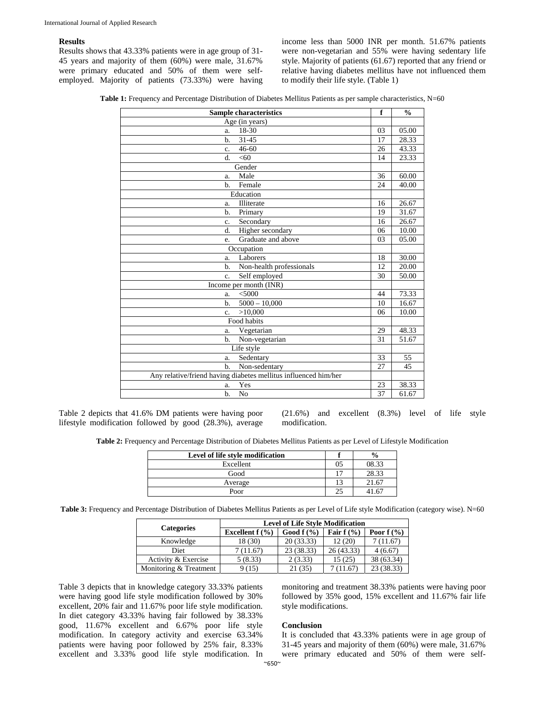### **Results**

Results shows that 43.33% patients were in age group of 31- 45 years and majority of them (60%) were male, 31.67% were primary educated and 50% of them were selfemployed. Majority of patients (73.33%) were having income less than 5000 INR per month. 51.67% patients were non-vegetarian and 55% were having sedentary life style. Majority of patients (61.67) reported that any friend or relative having diabetes mellitus have not influenced them to modify their life style. (Table 1)

**Table 1:** Frequency and Percentage Distribution of Diabetes Mellitus Patients as per sample characteristics, N=60

| <b>Sample characteristics</b>                                   |                 | $\frac{0}{0}$ |  |  |
|-----------------------------------------------------------------|-----------------|---------------|--|--|
| Age (in years)                                                  |                 |               |  |  |
| 18-30<br>a.                                                     | 03              | 05.00         |  |  |
| $31 - 45$<br>b.                                                 | 17              | 28.33         |  |  |
| $46 - 60$<br>c.                                                 | 26              | 43.33         |  |  |
| < 60<br>d.                                                      | 14              | 23.33         |  |  |
| Gender                                                          |                 |               |  |  |
| Male<br>a.                                                      | 36              | 60.00         |  |  |
| Female<br>b.                                                    | 24              | 40.00         |  |  |
| Education                                                       |                 |               |  |  |
| Illiterate<br>a.                                                | 16              | 26.67         |  |  |
| Primary<br>b.                                                   | 19              | 31.67         |  |  |
| Secondary<br>c.                                                 | 16              | 26.67         |  |  |
| d.<br>Higher secondary                                          | 06              | 10.00         |  |  |
| Graduate and above<br>e.                                        | 03              | 05.00         |  |  |
| Occupation                                                      |                 |               |  |  |
| Laborers<br>a.                                                  | 18              | 30.00         |  |  |
| Non-health professionals<br>b.                                  | 12              | 20.00         |  |  |
| Self employed<br>$\mathbf{c}$ .                                 | 30              | 50.00         |  |  |
| Income per month (INR)                                          |                 |               |  |  |
| <5000<br>a.                                                     | 44              | 73.33         |  |  |
| $b$<br>$5000 - 10,000$                                          | 10              | 16.67         |  |  |
| >10,000<br>c.                                                   | 06              | 10.00         |  |  |
| Food habits                                                     |                 |               |  |  |
| Vegetarian<br>a.                                                | 29              | 48.33         |  |  |
| $b$<br>Non-vegetarian                                           | $\overline{31}$ | 51.67         |  |  |
| Life style                                                      |                 |               |  |  |
| Sedentary<br>a.                                                 | 33              | 55            |  |  |
| Non-sedentary<br>b.                                             | 27              | 45            |  |  |
| Any relative/friend having diabetes mellitus influenced him/her |                 |               |  |  |
| Yes<br>a.                                                       | 23              | 38.33         |  |  |
| N <sub>o</sub><br>b.                                            | 37              | 61.67         |  |  |

Table 2 depicts that 41.6% DM patients were having poor lifestyle modification followed by good (28.3%), average

(21.6%) and excellent (8.3%) level of life style modification.

**Table 2:** Frequency and Percentage Distribution of Diabetes Mellitus Patients as per Level of Lifestyle Modification

| Level of life style modification | $\frac{6}{9}$ |
|----------------------------------|---------------|
| Excellent                        | 08.33         |
| Good                             | 28.33         |
| Average                          | 21.67         |
| Poor                             | 167           |

**Table 3:** Frequency and Percentage Distribution of Diabetes Mellitus Patients as per Level of Life style Modification (category wise). N=60

| <b>Categories</b>      | <b>Level of Life Style Modification</b> |              |              |              |  |
|------------------------|-----------------------------------------|--------------|--------------|--------------|--|
|                        | Excellent $f(\frac{9}{6})$              | Good $f(\%)$ | Fair $f(\%)$ | Poor $f(\%)$ |  |
| Knowledge              | 18 (30)                                 | 20 (33.33)   | 12(20)       | (11.67)      |  |
| Diet                   | 7 (11.67)                               | 23 (38.33)   | 26 (43.33)   | 4(6.67)      |  |
| Activity & Exercise    | 5(8.33)                                 | 2(3.33)      | 15(25)       | 38 (63.34)   |  |
| Monitoring & Treatment | (15)                                    | 21 (35)      | 11.67        | 23 (38.33)   |  |

Table 3 depicts that in knowledge category 33.33% patients were having good life style modification followed by 30% excellent, 20% fair and 11.67% poor life style modification. In diet category 43.33% having fair followed by 38.33% good, 11.67% excellent and 6.67% poor life style modification. In category activity and exercise 63.34% patients were having poor followed by 25% fair, 8.33% excellent and 3.33% good life style modification. In monitoring and treatment 38.33% patients were having poor followed by 35% good, 15% excellent and 11.67% fair life style modifications.

## **Conclusion**

It is concluded that 43.33% patients were in age group of 31-45 years and majority of them (60%) were male, 31.67% were primary educated and 50% of them were self